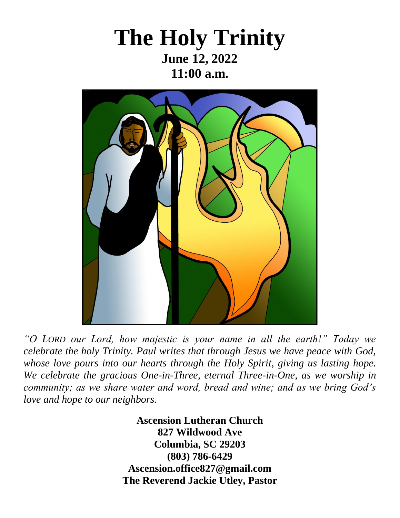## **The Holy Trinity June 12, 2022 11:00 a.m.**



*"O LORD our Lord, how majestic is your name in all the earth!" Today we celebrate the holy Trinity. Paul writes that through Jesus we have peace with God, whose love pours into our hearts through the Holy Spirit, giving us lasting hope. We celebrate the gracious One-in-Three, eternal Three-in-One, as we worship in community; as we share water and word, bread and wine; and as we bring God's love and hope to our neighbors.*

> **Ascension Lutheran Church 827 Wildwood Ave Columbia, SC 29203 (803) 786-6429 [Ascension.office827@gmail.com](mailto:Ascension.office827@gmail.com) The Reverend Jackie Utley, Pastor**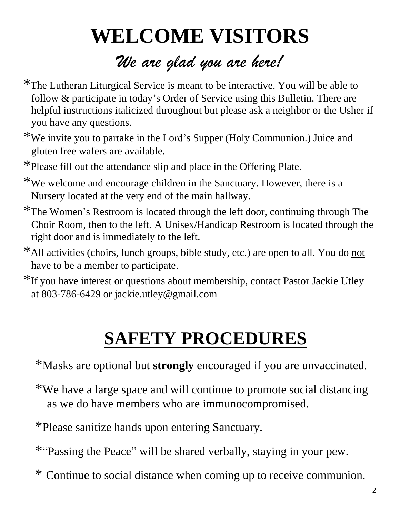# **WELCOME VISITORS** *We are glad you are here!*

- \*The Lutheran Liturgical Service is meant to be interactive. You will be able to follow & participate in today's Order of Service using this Bulletin. There are helpful instructions italicized throughout but please ask a neighbor or the Usher if you have any questions.
- \*We invite you to partake in the Lord's Supper (Holy Communion.) Juice and gluten free wafers are available.
- \*Please fill out the attendance slip and place in the Offering Plate.
- \*We welcome and encourage children in the Sanctuary. However, there is a Nursery located at the very end of the main hallway.
- \*The Women's Restroom is located through the left door, continuing through The Choir Room, then to the left. A Unisex/Handicap Restroom is located through the right door and is immediately to the left.
- \*All activities (choirs, lunch groups, bible study, etc.) are open to all. You do not have to be a member to participate.
- \*If you have interest or questions about membership, contact Pastor Jackie Utley at 803-786-6429 or [jackie.utley@gmail.com](mailto:jackie.utley@gmail.com)

# **SAFETY PROCEDURES**

- \*Masks are optional but **strongly** encouraged if you are unvaccinated.
- \*We have a large space and will continue to promote social distancing as we do have members who are immunocompromised.
- \*Please sanitize hands upon entering Sanctuary.
- \*"Passing the Peace" will be shared verbally, staying in your pew.
- \* Continue to social distance when coming up to receive communion.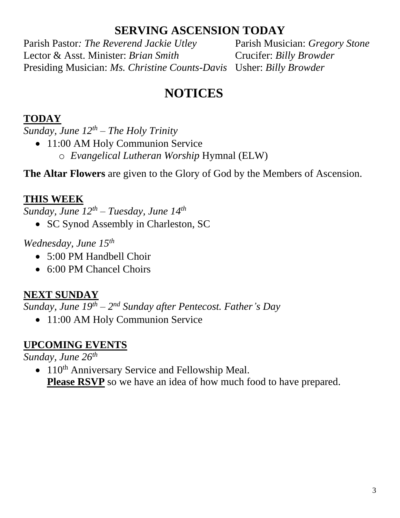#### **SERVING ASCENSION TODAY**

Parish Pastor*: The Reverend Jackie Utley* Parish Musician: *Gregory Stone* Lector & Asst. Minister: *Brian Smith* Crucifer: *Billy Browder* Presiding Musician: *Ms. Christine Counts-Davis* Usher: *Billy Browder*

## **NOTICES**

#### **TODAY**

*Sunday, June 12th – The Holy Trinity* 

- 11:00 AM Holy Communion Service
	- o *Evangelical Lutheran Worship* Hymnal (ELW)

**The Altar Flowers** are given to the Glory of God by the Members of Ascension.

#### **THIS WEEK**

*Sunday, June 12th – Tuesday, June 14 th*

• SC Synod Assembly in Charleston, SC

#### *Wednesday, June 15th*

- 5:00 PM Handbell Choir
- 6:00 PM Chancel Choirs

#### **NEXT SUNDAY**

*Sunday, June 19th – 2 nd Sunday after Pentecost. Father's Day*

• 11:00 AM Holy Communion Service

#### **UPCOMING EVENTS**

*Sunday, June 26th*

•  $110<sup>th</sup>$  Anniversary Service and Fellowship Meal. **Please RSVP** so we have an idea of how much food to have prepared.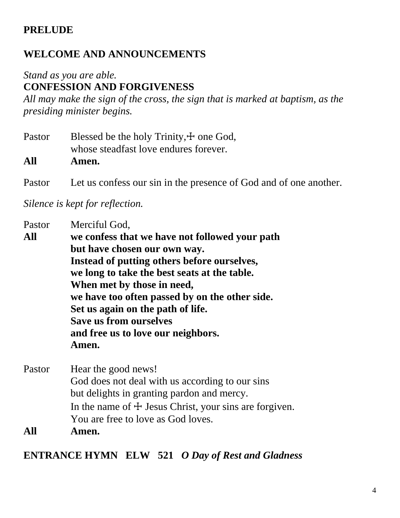#### **PRELUDE**

#### **WELCOME AND ANNOUNCEMENTS**

#### *Stand as you are able.*  **CONFESSION AND FORGIVENESS**

*All may make the sign of the cross, the sign that is marked at baptism, as the presiding minister begins.*

| Pastor | Blessed be the holy Trinity, $\pm$ one God,                       |  |  |
|--------|-------------------------------------------------------------------|--|--|
|        | whose steadfast love endures forever.                             |  |  |
| All    | Amen.                                                             |  |  |
| Pastor | Let us confess our sin in the presence of God and of one another. |  |  |

*Silence is kept for reflection.*

| Pastor | Merciful God,                                                       |                     |  |       |
|--------|---------------------------------------------------------------------|---------------------|--|-------|
| All    | we confess that we have not followed your path                      |                     |  |       |
|        | but have chosen our own way.                                        |                     |  |       |
|        | Instead of putting others before ourselves,                         |                     |  |       |
|        | we long to take the best seats at the table.                        |                     |  |       |
|        | When met by those in need,                                          |                     |  |       |
|        | we have too often passed by on the other side.                      |                     |  |       |
|        | Set us again on the path of life.                                   |                     |  |       |
|        | <b>Save us from ourselves</b><br>and free us to love our neighbors. |                     |  |       |
|        |                                                                     |                     |  | Amen. |
|        | Pastor                                                              | Hear the good news! |  |       |
|        | God does not deal with us according to our sins                     |                     |  |       |
|        | but delights in granting pardon and mercy.                          |                     |  |       |
|        | In the name of $\pm$ Jesus Christ, your sins are forgiven.          |                     |  |       |
|        | You are free to love as God loves.                                  |                     |  |       |
| All    | Amen.                                                               |                     |  |       |

**ENTRANCE HYMN ELW 521** *O Day of Rest and Gladness*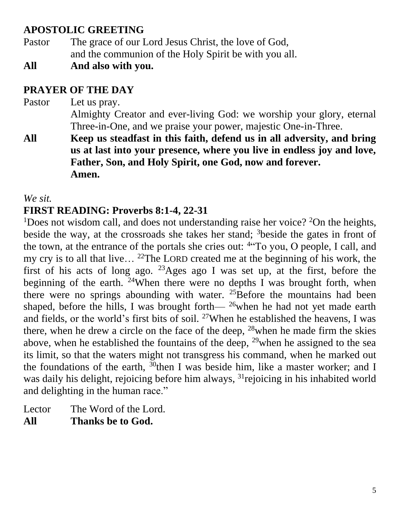#### **APOSTOLIC GREETING**

- Pastor The grace of our Lord Jesus Christ, the love of God, and the communion of the Holy Spirit be with you all.
- **All And also with you.**

#### **PRAYER OF THE DAY**

- Pastor Let us pray. Almighty Creator and ever-living God: we worship your glory, eternal Three-in-One, and we praise your power, majestic One-in-Three.
- **All Keep us steadfast in this faith, defend us in all adversity, and bring us at last into your presence, where you live in endless joy and love, Father, Son, and Holy Spirit, one God, now and forever. Amen.**

*We sit.*

#### **FIRST READING: Proverbs 8:1-4, 22-31**

<sup>1</sup>Does not wisdom call, and does not understanding raise her voice? <sup>2</sup>On the heights, beside the way, at the crossroads she takes her stand; <sup>3</sup>beside the gates in front of the town, at the entrance of the portals she cries out: <sup>4"</sup>To you, O people, I call, and my cry is to all that live… <sup>22</sup>The LORD created me at the beginning of his work, the first of his acts of long ago.  $23$ Ages ago I was set up, at the first, before the beginning of the earth. <sup>24</sup>When there were no depths I was brought forth, when there were no springs abounding with water.  $25$ Before the mountains had been shaped, before the hills, I was brought forth—  $^{26}$  when he had not yet made earth and fields, or the world's first bits of soil. <sup>27</sup>When he established the heavens, I was there, when he drew a circle on the face of the deep, <sup>28</sup>when he made firm the skies above, when he established the fountains of the deep,  $^{29}$  when he assigned to the sea its limit, so that the waters might not transgress his command, when he marked out the foundations of the earth,  $\frac{30}{9}$ then I was beside him, like a master worker; and I was daily his delight, rejoicing before him always, <sup>31</sup> rejoicing in his inhabited world and delighting in the human race."

Lector The Word of the Lord. **All Thanks be to God.**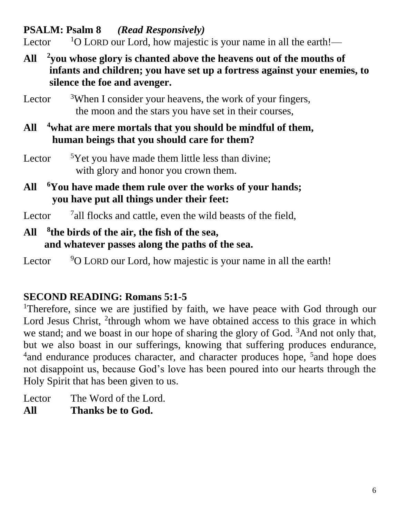**PSALM: Psalm 8** *(Read Responsively)*

Lector  $1^0$  LORD our Lord, how majestic is your name in all the earth!—

- **All <sup>2</sup> you whose glory is chanted above the heavens out of the mouths of infants and children; you have set up a fortress against your enemies, to silence the foe and avenger.**
- Lector  $3$ When I consider your heavens, the work of your fingers, the moon and the stars you have set in their courses,
- **All <sup>4</sup>what are mere mortals that you should be mindful of them, human beings that you should care for them?**
- Lector  $5$ Yet you have made them little less than divine; with glory and honor you crown them.
- **All <sup>6</sup>You have made them rule over the works of your hands; you have put all things under their feet:**
- Lector <sup>7</sup> all flocks and cattle, even the wild beasts of the field,

#### **All <sup>8</sup> the birds of the air, the fish of the sea, and whatever passes along the paths of the sea.**

Lector  $90$  LORD our Lord, how majestic is your name in all the earth!

#### **SECOND READING: Romans 5:1-5**

<sup>1</sup>Therefore, since we are justified by faith, we have peace with God through our Lord Jesus Christ, <sup>2</sup>through whom we have obtained access to this grace in which we stand; and we boast in our hope of sharing the glory of God. <sup>3</sup>And not only that, but we also boast in our sufferings, knowing that suffering produces endurance, <sup>4</sup> and endurance produces character, and character produces hope, <sup>5</sup> and hope does not disappoint us, because God's love has been poured into our hearts through the Holy Spirit that has been given to us.

- Lector The Word of the Lord.
- **All Thanks be to God.**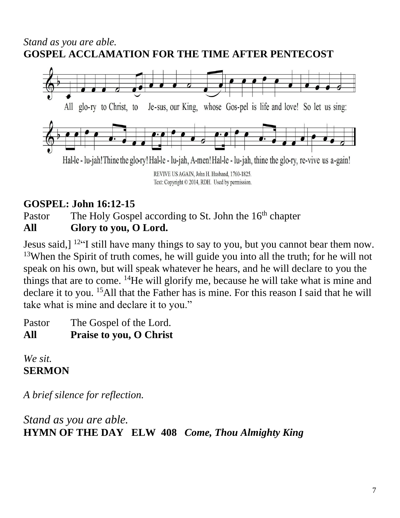#### *Stand as you are able.*  **GOSPEL ACCLAMATION FOR THE TIME AFTER PENTECOST**



#### **GOSPEL: John 16:12-15**

Pastor The Holy Gospel according to St. John the 16<sup>th</sup> chapter **All Glory to you, O Lord.**

Jesus said,] <sup>12"</sup>I still have many things to say to you, but you cannot bear them now. <sup>13</sup>When the Spirit of truth comes, he will guide you into all the truth; for he will not speak on his own, but will speak whatever he hears, and he will declare to you the things that are to come. <sup>14</sup>He will glorify me, because he will take what is mine and declare it to you. <sup>15</sup>All that the Father has is mine. For this reason I said that he will take what is mine and declare it to you."

Pastor The Gospel of the Lord. **All Praise to you, O Christ**

*We sit.* **SERMON**

*A brief silence for reflection.*

*Stand as you are able.* **HYMN OF THE DAY ELW 408** *Come, Thou Almighty King*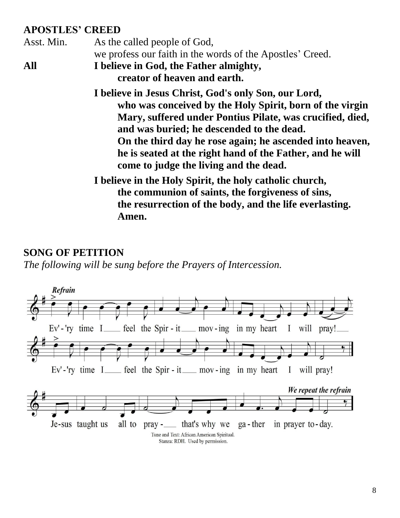#### **APOSTLES' CREED**

Asst. Min. As the called people of God, we profess our faith in the words of the Apostles' Creed. **All I believe in God, the Father almighty, creator of heaven and earth. I believe in Jesus Christ, God's only Son, our Lord, who was conceived by the Holy Spirit, born of the virgin Mary, suffered under Pontius Pilate, was crucified, died, and was buried; he descended to the dead. On the third day he rose again; he ascended into heaven, he is seated at the right hand of the Father, and he will come to judge the living and the dead. I believe in the Holy Spirit, the holy catholic church, the communion of saints, the forgiveness of sins,**

**the resurrection of the body, and the life everlasting. Amen.**

#### **SONG OF PETITION**

*The following will be sung before the Prayers of Intercession.*

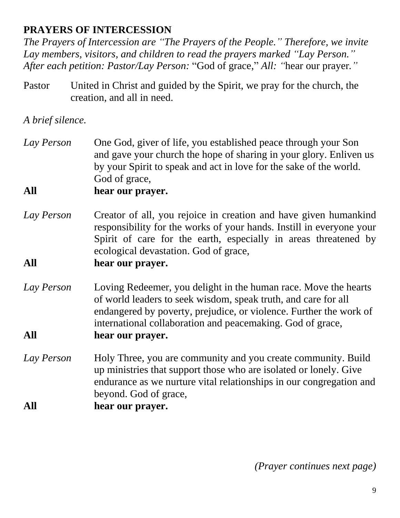#### **PRAYERS OF INTERCESSION**

*The Prayers of Intercession are "The Prayers of the People." Therefore, we invite Lay members, visitors, and children to read the prayers marked "Lay Person." After each petition: Pastor/Lay Person:* "God of grace," *All: "*hear our prayer*."*

Pastor United in Christ and guided by the Spirit, we pray for the church, the creation, and all in need.

*A brief silence.*

*Lay Person* One God, giver of life, you established peace through your Son and gave your church the hope of sharing in your glory. Enliven us by your Spirit to speak and act in love for the sake of the world. God of grace,

#### **All hear our prayer.**

*Lay Person* Creator of all, you rejoice in creation and have given humankind responsibility for the works of your hands. Instill in everyone your Spirit of care for the earth, especially in areas threatened by ecological devastation. God of grace,

#### **All hear our prayer.**

- *Lay Person* Loving Redeemer, you delight in the human race. Move the hearts of world leaders to seek wisdom, speak truth, and care for all endangered by poverty, prejudice, or violence. Further the work of international collaboration and peacemaking. God of grace, **All hear our prayer.**
- *Lay Person* Holy Three, you are community and you create community. Build up ministries that support those who are isolated or lonely. Give endurance as we nurture vital relationships in our congregation and beyond. God of grace, **All hear our prayer.**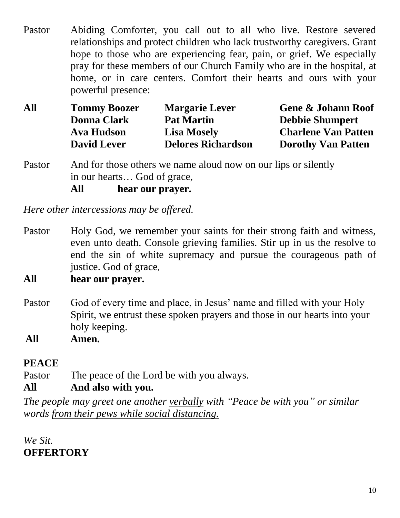Pastor Abiding Comforter, you call out to all who live. Restore severed relationships and protect children who lack trustworthy caregivers. Grant hope to those who are experiencing fear, pain, or grief. We especially pray for these members of our Church Family who are in the hospital, at home, or in care centers. Comfort their hearts and ours with your powerful presence:

| All | <b>Tommy Boozer</b> | <b>Margarie Lever</b>     | <b>Gene &amp; Johann Roof</b> |
|-----|---------------------|---------------------------|-------------------------------|
|     | <b>Donna Clark</b>  | <b>Pat Martin</b>         | <b>Debbie Shumpert</b>        |
|     | Ava Hudson          | <b>Lisa Mosely</b>        | <b>Charlene Van Patten</b>    |
|     | <b>David Lever</b>  | <b>Delores Richardson</b> | <b>Dorothy Van Patten</b>     |

Pastor And for those others we name aloud now on our lips or silently in our hearts… God of grace, **All hear our prayer.**

*Here other intercessions may be offered.*

- Pastor Holy God, we remember your saints for their strong faith and witness, even unto death. Console grieving families. Stir up in us the resolve to end the sin of white supremacy and pursue the courageous path of justice. God of grace,
- **All hear our prayer.**
- Pastor God of every time and place, in Jesus' name and filled with your Holy Spirit, we entrust these spoken prayers and those in our hearts into your holy keeping.

**All Amen.**

#### **PEACE**

Pastor The peace of the Lord be with you always.

#### **All And also with you.**

*The people may greet one another verbally with "Peace be with you" or similar words from their pews while social distancing.*

*We Sit.*  **OFFERTORY**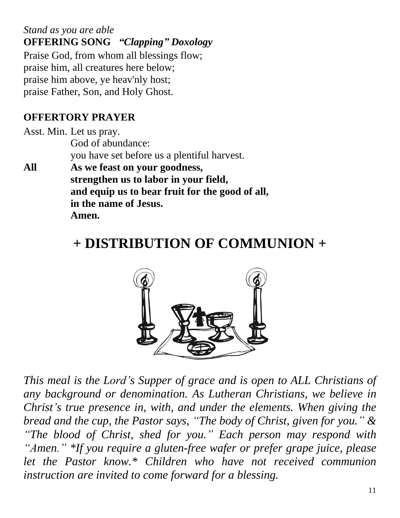*Stand as you are able* **OFFERING SONG** *"Clapping" Doxology* Praise God, from whom all blessings flow; praise him, all creatures here below; praise him above, ye heav'nly host; praise Father, Son, and Holy Ghost.

#### **OFFERTORY PRAYER**

Asst. Min. Let us pray. God of abundance: you have set before us a plentiful harvest.

**All As we feast on your goodness, strengthen us to labor in your field, and equip us to bear fruit for the good of all, in the name of Jesus. Amen.**

## **+ DISTRIBUTION OF COMMUNION +**



*This meal is the Lord's Supper of grace and is open to ALL Christians of any background or denomination. As Lutheran Christians, we believe in Christ's true presence in, with, and under the elements. When giving the bread and the cup, the Pastor says, "The body of Christ, given for you." & "The blood of Christ, shed for you." Each person may respond with "Amen." \*If you require a gluten-free wafer or prefer grape juice, please let the Pastor know.\* Children who have not received communion instruction are invited to come forward for a blessing.*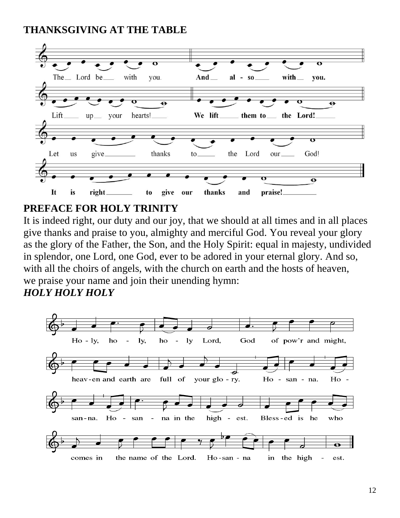#### **THANKSGIVING AT THE TABLE**



#### **PREFACE FOR HOLY TRINITY**

It is indeed right, our duty and our joy, that we should at all times and in all places give thanks and praise to you, almighty and merciful God. You reveal your glory as the glory of the Father, the Son, and the Holy Spirit: equal in majesty, undivided in splendor, one Lord, one God, ever to be adored in your eternal glory. And so, with all the choirs of angels, with the church on earth and the hosts of heaven, we praise your name and join their unending hymn:

#### *HOLY HOLY HOLY*

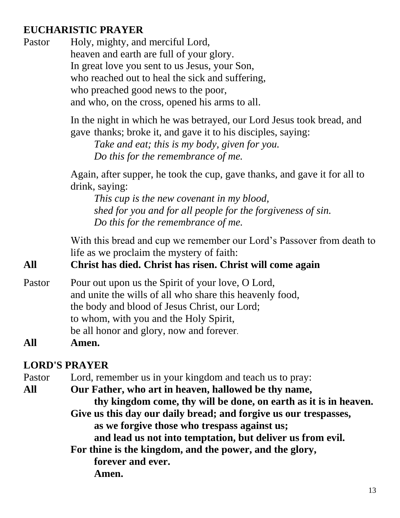#### **EUCHARISTIC PRAYER**

Pastor Holy, mighty, and merciful Lord, heaven and earth are full of your glory. In great love you sent to us Jesus, your Son, who reached out to heal the sick and suffering, who preached good news to the poor, and who, on the cross, opened his arms to all.

> In the night in which he was betrayed, our Lord Jesus took bread, and gave thanks; broke it, and gave it to his disciples, saying:

*Take and eat; this is my body, given for you. Do this for the remembrance of me.*

Again, after supper, he took the cup, gave thanks, and gave it for all to drink, saying:

*This cup is the new covenant in my blood, shed for you and for all people for the forgiveness of sin. Do this for the remembrance of me.*

With this bread and cup we remember our Lord's Passover from death to life as we proclaim the mystery of faith:

#### **All Christ has died. Christ has risen. Christ will come again**

Pastor Pour out upon us the Spirit of your love, O Lord, and unite the wills of all who share this heavenly food, the body and blood of Jesus Christ, our Lord; to whom, with you and the Holy Spirit, be all honor and glory, now and forever.

#### **All Amen.**

#### **LORD'S PRAYER**

Pastor Lord, remember us in your kingdom and teach us to pray:

**All Our Father, who art in heaven, hallowed be thy name,**

 **thy kingdom come, thy will be done, on earth as it is in heaven. Give us this day our daily bread; and forgive us our trespasses, as we forgive those who trespass against us;**

**and lead us not into temptation, but deliver us from evil.**

**For thine is the kingdom, and the power, and the glory, forever and ever. Amen.**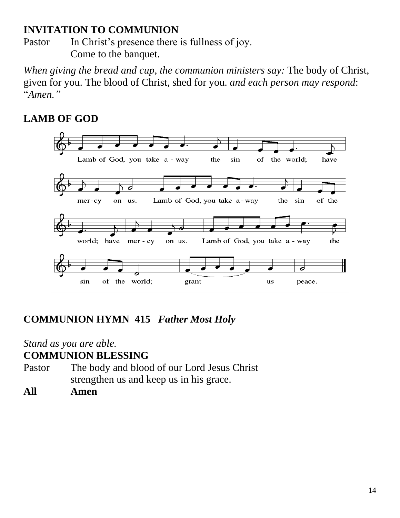#### **INVITATION TO COMMUNION**

Pastor In Christ's presence there is fullness of joy. Come to the banquet.

*When giving the bread and cup, the communion ministers say:* The body of Christ, given for you. The blood of Christ, shed for you. *and each person may respond*: "*Amen."*

#### **LAMB OF GOD**



#### **COMMUNION HYMN 415** *Father Most Holy*

## *Stand as you are able.*

#### **COMMUNION BLESSING**

- Pastor The body and blood of our Lord Jesus Christ strengthen us and keep us in his grace.
- **All Amen**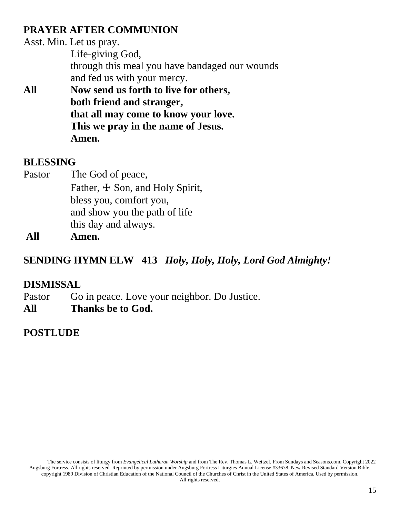#### **PRAYER AFTER COMMUNION**

|     | Asst. Min. Let us pray.                        |
|-----|------------------------------------------------|
|     | Life-giving God,                               |
|     | through this meal you have bandaged our wounds |
|     | and fed us with your mercy.                    |
| All | Now send us forth to live for others,          |
|     | both friend and stranger,                      |
|     | that all may come to know your love.           |
|     | This we pray in the name of Jesus.             |
|     | men.                                           |

#### **BLESSING**

Pastor The God of peace, Father,  $\pm$  Son, and Holy Spirit, bless you, comfort you, and show you the path of life this day and always.

**All Amen.**

#### **SENDING HYMN ELW 413** *Holy, Holy, Holy, Lord God Almighty!*

#### **DISMISSAL**

Pastor Go in peace. Love your neighbor. Do Justice.

**All Thanks be to God.**

#### **POSTLUDE**